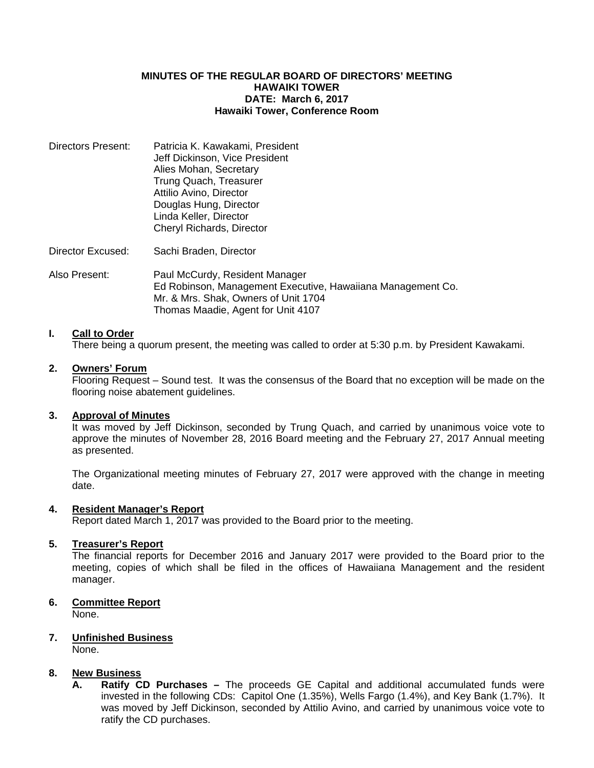#### **MINUTES OF THE REGULAR BOARD OF DIRECTORS' MEETING HAWAIKI TOWER DATE: March 6, 2017 Hawaiki Tower, Conference Room**

| Directors Present: | Patricia K. Kawakami, President |
|--------------------|---------------------------------|
|                    | Jeff Dickinson, Vice President  |
|                    | Alies Mohan, Secretary          |
|                    | Trung Quach, Treasurer          |
|                    | Attilio Avino, Director         |
|                    | Douglas Hung, Director          |
|                    | Linda Keller, Director          |
|                    | Cheryl Richards, Director       |
|                    |                                 |

Director Excused: Sachi Braden, Director

Also Present: Paul McCurdy, Resident Manager Ed Robinson, Management Executive, Hawaiiana Management Co. Mr. & Mrs. Shak, Owners of Unit 1704 Thomas Maadie, Agent for Unit 4107

# **I. Call to Order**

There being a quorum present, the meeting was called to order at 5:30 p.m. by President Kawakami.

#### **2. Owners' Forum**

Flooring Request – Sound test. It was the consensus of the Board that no exception will be made on the flooring noise abatement guidelines.

#### **3. Approval of Minutes**

 It was moved by Jeff Dickinson, seconded by Trung Quach, and carried by unanimous voice vote to approve the minutes of November 28, 2016 Board meeting and the February 27, 2017 Annual meeting as presented.

 The Organizational meeting minutes of February 27, 2017 were approved with the change in meeting date.

#### **4. Resident Manager's Report**

Report dated March 1, 2017 was provided to the Board prior to the meeting.

# **5. Treasurer's Report**

 The financial reports for December 2016 and January 2017 were provided to the Board prior to the meeting, copies of which shall be filed in the offices of Hawaiiana Management and the resident manager.

# **6. Committee Report**

None.

# **7. Unfinished Business**

None.

# **8. New Business**

**A. Ratify CD Purchases –** The proceeds GE Capital and additional accumulated funds were invested in the following CDs: Capitol One (1.35%), Wells Fargo (1.4%), and Key Bank (1.7%). It was moved by Jeff Dickinson, seconded by Attilio Avino, and carried by unanimous voice vote to ratify the CD purchases.